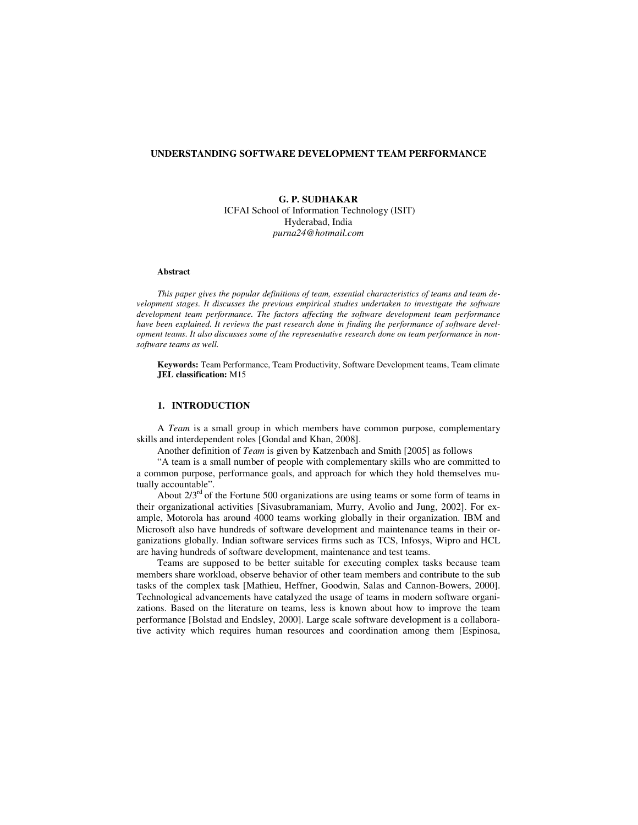### **UNDERSTANDING SOFTWARE DEVELOPMENT TEAM PERFORMANCE**

**G. P. SUDHAKAR**  ICFAI School of Information Technology (ISIT) Hyderabad, India *purna24@hotmail.com* 

#### **Abstract**

*This paper gives the popular definitions of team, essential characteristics of teams and team development stages. It discusses the previous empirical studies undertaken to investigate the software development team performance. The factors affecting the software development team performance have been explained. It reviews the past research done in finding the performance of software development teams. It also discusses some of the representative research done on team performance in nonsoftware teams as well.* 

**Keywords:** Team Performance, Team Productivity, Software Development teams, Team climate **JEL classification:** M15

# **1. INTRODUCTION**

A *Team* is a small group in which members have common purpose, complementary skills and interdependent roles [Gondal and Khan, 2008].

Another definition of *Team* is given by Katzenbach and Smith [2005] as follows

"A team is a small number of people with complementary skills who are committed to a common purpose, performance goals, and approach for which they hold themselves mutually accountable".

About  $2/3<sup>rd</sup>$  of the Fortune 500 organizations are using teams or some form of teams in their organizational activities [Sivasubramaniam, Murry, Avolio and Jung, 2002]. For example, Motorola has around 4000 teams working globally in their organization. IBM and Microsoft also have hundreds of software development and maintenance teams in their organizations globally. Indian software services firms such as TCS, Infosys, Wipro and HCL are having hundreds of software development, maintenance and test teams.

Teams are supposed to be better suitable for executing complex tasks because team members share workload, observe behavior of other team members and contribute to the sub tasks of the complex task [Mathieu, Heffner, Goodwin, Salas and Cannon-Bowers, 2000]. Technological advancements have catalyzed the usage of teams in modern software organizations. Based on the literature on teams, less is known about how to improve the team performance [Bolstad and Endsley, 2000]. Large scale software development is a collaborative activity which requires human resources and coordination among them [Espinosa,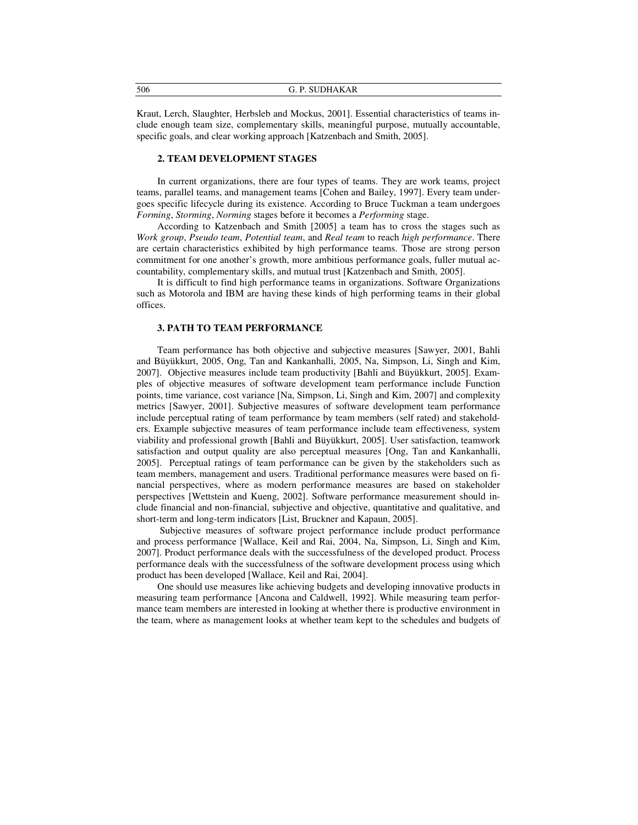| 506 | G. P. SUDHAKAR |
|-----|----------------|
|     |                |

Kraut, Lerch, Slaughter, Herbsleb and Mockus, 2001]. Essential characteristics of teams include enough team size, complementary skills, meaningful purpose, mutually accountable, specific goals, and clear working approach [Katzenbach and Smith, 2005].

### **2. TEAM DEVELOPMENT STAGES**

In current organizations, there are four types of teams. They are work teams, project teams, parallel teams, and management teams [Cohen and Bailey, 1997]. Every team undergoes specific lifecycle during its existence. According to Bruce Tuckman a team undergoes *Forming*, *Storming*, *Norming* stages before it becomes a *Performing* stage.

According to Katzenbach and Smith [2005] a team has to cross the stages such as *Work group*, *Pseudo team*, *Potential team*, and *Real team* to reach *high performance*. There are certain characteristics exhibited by high performance teams. Those are strong person commitment for one another's growth, more ambitious performance goals, fuller mutual accountability, complementary skills, and mutual trust [Katzenbach and Smith, 2005].

It is difficult to find high performance teams in organizations. Software Organizations such as Motorola and IBM are having these kinds of high performing teams in their global offices.

### **3. PATH TO TEAM PERFORMANCE**

Team performance has both objective and subjective measures [Sawyer, 2001, Bahli and Büyükkurt, 2005, Ong, Tan and Kankanhalli, 2005, Na, Simpson, Li, Singh and Kim, 2007]. Objective measures include team productivity [Bahli and Büyükkurt, 2005]. Examples of objective measures of software development team performance include Function points, time variance, cost variance [Na, Simpson, Li, Singh and Kim, 2007] and complexity metrics [Sawyer, 2001]. Subjective measures of software development team performance include perceptual rating of team performance by team members (self rated) and stakeholders. Example subjective measures of team performance include team effectiveness, system viability and professional growth [Bahli and Büyükkurt, 2005]. User satisfaction, teamwork satisfaction and output quality are also perceptual measures [Ong, Tan and Kankanhalli, 2005]. Perceptual ratings of team performance can be given by the stakeholders such as team members, management and users. Traditional performance measures were based on financial perspectives, where as modern performance measures are based on stakeholder perspectives [Wettstein and Kueng, 2002]. Software performance measurement should include financial and non-financial, subjective and objective, quantitative and qualitative, and short-term and long-term indicators [List, Bruckner and Kapaun, 2005].

 Subjective measures of software project performance include product performance and process performance [Wallace, Keil and Rai, 2004, Na, Simpson, Li, Singh and Kim, 2007]. Product performance deals with the successfulness of the developed product. Process performance deals with the successfulness of the software development process using which product has been developed [Wallace, Keil and Rai, 2004].

One should use measures like achieving budgets and developing innovative products in measuring team performance [Ancona and Caldwell, 1992]. While measuring team performance team members are interested in looking at whether there is productive environment in the team, where as management looks at whether team kept to the schedules and budgets of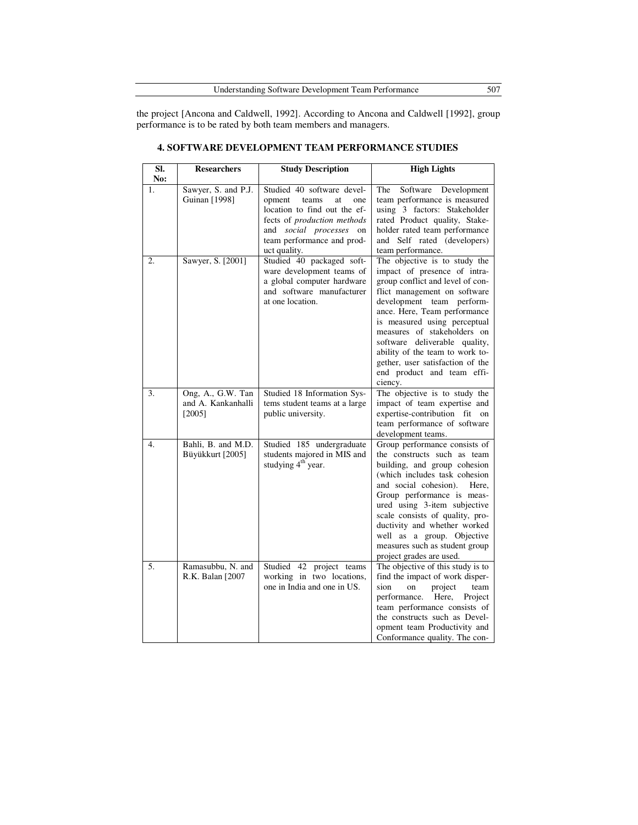the project [Ancona and Caldwell, 1992]. According to Ancona and Caldwell [1992], group performance is to be rated by both team members and managers.

| SI.<br>No: | <b>Researchers</b>                                  | <b>Study Description</b>                                                                                                                                                                           | <b>High Lights</b>                                                                                                                                                                                                                                                                                                                                                                                             |
|------------|-----------------------------------------------------|----------------------------------------------------------------------------------------------------------------------------------------------------------------------------------------------------|----------------------------------------------------------------------------------------------------------------------------------------------------------------------------------------------------------------------------------------------------------------------------------------------------------------------------------------------------------------------------------------------------------------|
| 1.         | Sawyer, S. and P.J.<br>Guinan [1998]                | Studied 40 software devel-<br>opment<br>teams<br>at<br>one<br>location to find out the ef-<br>fects of production methods<br>and social processes on<br>team performance and prod-<br>uct quality. | The<br>Software Development<br>team performance is measured<br>using 3 factors: Stakeholder<br>rated Product quality, Stake-<br>holder rated team performance<br>and Self rated (developers)<br>team performance.                                                                                                                                                                                              |
| 2.         | Sawyer, S. [2001]                                   | Studied 40 packaged soft-<br>ware development teams of<br>a global computer hardware<br>and software manufacturer<br>at one location.                                                              | The objective is to study the<br>impact of presence of intra-<br>group conflict and level of con-<br>flict management on software<br>development team perform-<br>ance. Here, Team performance<br>is measured using perceptual<br>measures of stakeholders on<br>software deliverable quality,<br>ability of the team to work to-<br>gether, user satisfaction of the<br>end product and team effi-<br>ciency. |
| 3.         | Ong, A., G.W. Tan<br>and A. Kankanhalli<br>$[2005]$ | Studied 18 Information Sys-<br>tems student teams at a large<br>public university.                                                                                                                 | The objective is to study the<br>impact of team expertise and<br>expertise-contribution fit on<br>team performance of software<br>development teams.                                                                                                                                                                                                                                                           |
| 4.         | Bahli, B. and M.D.<br>Büyükkurt [2005]              | Studied 185 undergraduate<br>students majored in MIS and<br>studying 4 <sup>th</sup> year.                                                                                                         | Group performance consists of<br>the constructs such as team<br>building, and group cohesion<br>(which includes task cohesion<br>and social cohesion).<br>Here,<br>Group performance is meas-<br>ured using 3-item subjective<br>scale consists of quality, pro-<br>ductivity and whether worked<br>well as a group. Objective<br>measures such as student group<br>project grades are used.                   |
| 5.         | Ramasubbu, N. and<br>R.K. Balan [2007               | Studied 42 project teams<br>working in two locations,<br>one in India and one in US.                                                                                                               | The objective of this study is to<br>find the impact of work disper-<br>sion<br>project<br>team<br>on<br>performance. Here,<br>Project<br>team performance consists of<br>the constructs such as Devel-<br>opment team Productivity and<br>Conformance quality. The con-                                                                                                                                       |

# **4. SOFTWARE DEVELOPMENT TEAM PERFORMANCE STUDIES**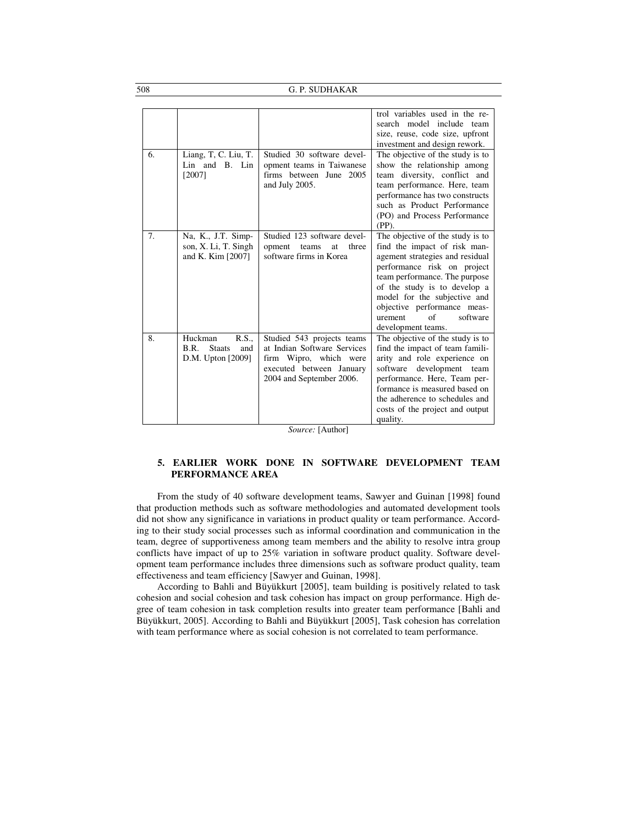508 G. P. SUDHAKAR

|    |                                                                      |                                                                                                                                             | trol variables used in the re-<br>search model include team<br>size, reuse, code size, upfront<br>investment and design rework.                                                                                                                                                                                               |
|----|----------------------------------------------------------------------|---------------------------------------------------------------------------------------------------------------------------------------------|-------------------------------------------------------------------------------------------------------------------------------------------------------------------------------------------------------------------------------------------------------------------------------------------------------------------------------|
| 6. | Liang, T, C. Liu, T.<br>Lin and B. Lin<br>[2007]                     | Studied 30 software devel-<br>opment teams in Taiwanese<br>firms between June 2005<br>and July 2005.                                        | The objective of the study is to<br>show the relationship among<br>team diversity, conflict and<br>team performance. Here, team<br>performance has two constructs<br>such as Product Performance<br>(PO) and Process Performance<br>$(PP)$ .                                                                                  |
| 7. | Na, K., J.T. Simp-<br>son, X. Li, T. Singh<br>and K. Kim [2007]      | Studied 123 software devel-<br>three<br>opment<br>teams<br>at<br>software firms in Korea                                                    | The objective of the study is to<br>find the impact of risk man-<br>agement strategies and residual<br>performance risk on project<br>team performance. The purpose<br>of the study is to develop a<br>model for the subjective and<br>objective performance meas-<br>$\alpha$ f<br>software<br>urement<br>development teams. |
| 8. | R.S.<br>Huckman<br>B.R.<br><b>Staats</b><br>and<br>D.M. Upton [2009] | Studied 543 projects teams<br>at Indian Software Services<br>firm Wipro, which were<br>executed between January<br>2004 and September 2006. | The objective of the study is to<br>find the impact of team famili-<br>arity and role experience on<br>software<br>development team<br>performance. Here, Team per-<br>formance is measured based on<br>the adherence to schedules and<br>costs of the project and output<br>quality.                                         |

*Source:* [Author]

# **5. EARLIER WORK DONE IN SOFTWARE DEVELOPMENT TEAM PERFORMANCE AREA**

From the study of 40 software development teams, Sawyer and Guinan [1998] found that production methods such as software methodologies and automated development tools did not show any significance in variations in product quality or team performance. According to their study social processes such as informal coordination and communication in the team, degree of supportiveness among team members and the ability to resolve intra group conflicts have impact of up to 25% variation in software product quality. Software development team performance includes three dimensions such as software product quality, team effectiveness and team efficiency [Sawyer and Guinan, 1998].

According to Bahli and Büyükkurt [2005], team building is positively related to task cohesion and social cohesion and task cohesion has impact on group performance. High degree of team cohesion in task completion results into greater team performance [Bahli and Büyükkurt, 2005]. According to Bahli and Büyükkurt [2005], Task cohesion has correlation with team performance where as social cohesion is not correlated to team performance.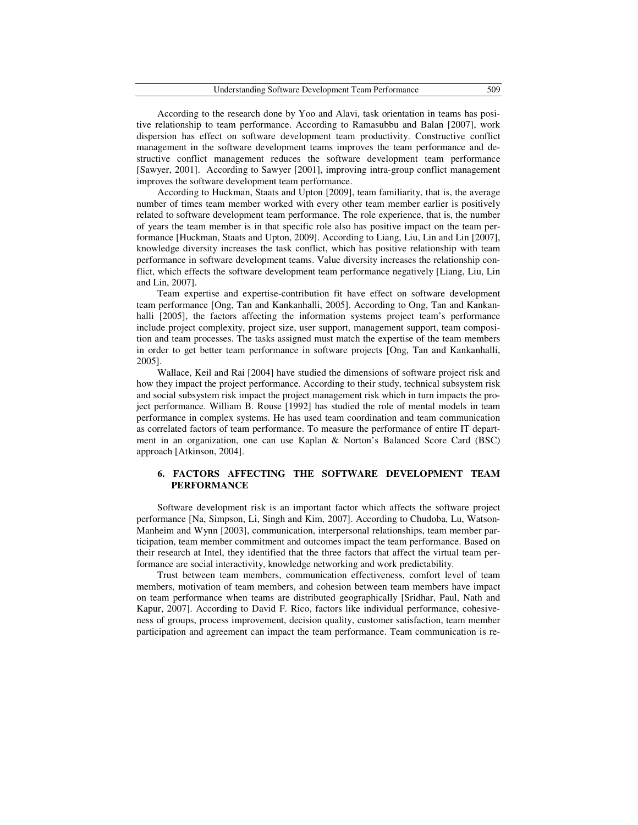| Understanding Software Development Team Performance | 509 |
|-----------------------------------------------------|-----|
|                                                     |     |

According to the research done by Yoo and Alavi, task orientation in teams has positive relationship to team performance. According to Ramasubbu and Balan [2007], work dispersion has effect on software development team productivity. Constructive conflict management in the software development teams improves the team performance and destructive conflict management reduces the software development team performance [Sawyer, 2001]. According to Sawyer [2001], improving intra-group conflict management improves the software development team performance.

According to Huckman, Staats and Upton [2009], team familiarity, that is, the average number of times team member worked with every other team member earlier is positively related to software development team performance. The role experience, that is, the number of years the team member is in that specific role also has positive impact on the team performance [Huckman, Staats and Upton, 2009]. According to Liang, Liu, Lin and Lin [2007], knowledge diversity increases the task conflict, which has positive relationship with team performance in software development teams. Value diversity increases the relationship conflict, which effects the software development team performance negatively [Liang, Liu, Lin and Lin, 2007].

Team expertise and expertise-contribution fit have effect on software development team performance [Ong, Tan and Kankanhalli, 2005]. According to Ong, Tan and Kankanhalli [2005], the factors affecting the information systems project team's performance include project complexity, project size, user support, management support, team composition and team processes. The tasks assigned must match the expertise of the team members in order to get better team performance in software projects [Ong, Tan and Kankanhalli, 2005].

Wallace, Keil and Rai [2004] have studied the dimensions of software project risk and how they impact the project performance. According to their study, technical subsystem risk and social subsystem risk impact the project management risk which in turn impacts the project performance. William B. Rouse [1992] has studied the role of mental models in team performance in complex systems. He has used team coordination and team communication as correlated factors of team performance. To measure the performance of entire IT department in an organization, one can use Kaplan & Norton's Balanced Score Card (BSC) approach [Atkinson, 2004].

### **6. FACTORS AFFECTING THE SOFTWARE DEVELOPMENT TEAM PERFORMANCE**

Software development risk is an important factor which affects the software project performance [Na, Simpson, Li, Singh and Kim, 2007]. According to Chudoba, Lu, Watson-Manheim and Wynn [2003], communication, interpersonal relationships, team member participation, team member commitment and outcomes impact the team performance. Based on their research at Intel, they identified that the three factors that affect the virtual team performance are social interactivity, knowledge networking and work predictability.

Trust between team members, communication effectiveness, comfort level of team members, motivation of team members, and cohesion between team members have impact on team performance when teams are distributed geographically [Sridhar, Paul, Nath and Kapur, 2007]. According to David F. Rico, factors like individual performance, cohesiveness of groups, process improvement, decision quality, customer satisfaction, team member participation and agreement can impact the team performance. Team communication is re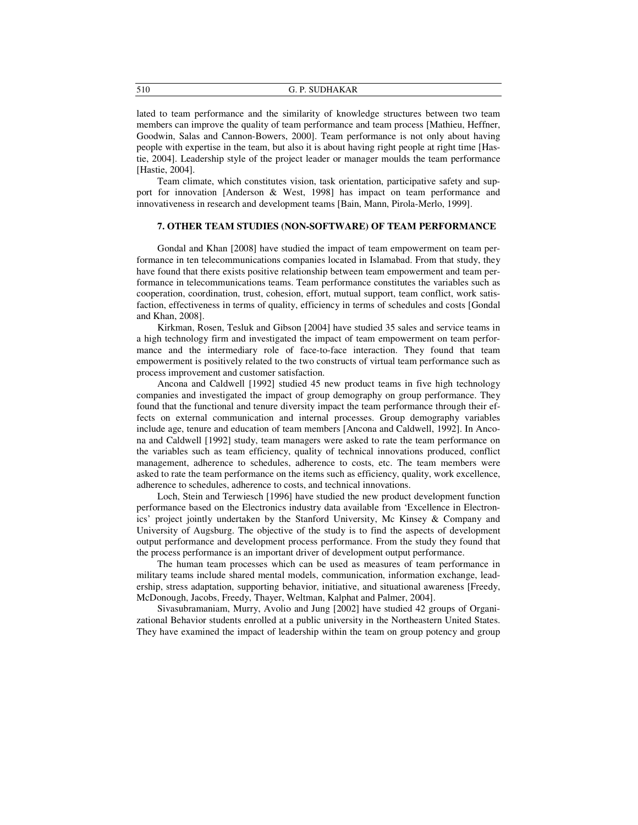510 G. P. SUDHAKAR

lated to team performance and the similarity of knowledge structures between two team members can improve the quality of team performance and team process [Mathieu, Heffner, Goodwin, Salas and Cannon-Bowers, 2000]. Team performance is not only about having people with expertise in the team, but also it is about having right people at right time [Hastie, 2004]. Leadership style of the project leader or manager moulds the team performance [Hastie, 2004].

Team climate, which constitutes vision, task orientation, participative safety and support for innovation [Anderson & West, 1998] has impact on team performance and innovativeness in research and development teams [Bain, Mann, Pirola-Merlo, 1999].

## **7. OTHER TEAM STUDIES (NON-SOFTWARE) OF TEAM PERFORMANCE**

Gondal and Khan [2008] have studied the impact of team empowerment on team performance in ten telecommunications companies located in Islamabad. From that study, they have found that there exists positive relationship between team empowerment and team performance in telecommunications teams. Team performance constitutes the variables such as cooperation, coordination, trust, cohesion, effort, mutual support, team conflict, work satisfaction, effectiveness in terms of quality, efficiency in terms of schedules and costs [Gondal and Khan, 2008].

Kirkman, Rosen, Tesluk and Gibson [2004] have studied 35 sales and service teams in a high technology firm and investigated the impact of team empowerment on team performance and the intermediary role of face-to-face interaction. They found that team empowerment is positively related to the two constructs of virtual team performance such as process improvement and customer satisfaction.

Ancona and Caldwell [1992] studied 45 new product teams in five high technology companies and investigated the impact of group demography on group performance. They found that the functional and tenure diversity impact the team performance through their effects on external communication and internal processes. Group demography variables include age, tenure and education of team members [Ancona and Caldwell, 1992]. In Ancona and Caldwell [1992] study, team managers were asked to rate the team performance on the variables such as team efficiency, quality of technical innovations produced, conflict management, adherence to schedules, adherence to costs, etc. The team members were asked to rate the team performance on the items such as efficiency, quality, work excellence, adherence to schedules, adherence to costs, and technical innovations.

Loch, Stein and Terwiesch [1996] have studied the new product development function performance based on the Electronics industry data available from 'Excellence in Electronics' project jointly undertaken by the Stanford University, Mc Kinsey & Company and University of Augsburg. The objective of the study is to find the aspects of development output performance and development process performance. From the study they found that the process performance is an important driver of development output performance.

The human team processes which can be used as measures of team performance in military teams include shared mental models, communication, information exchange, leadership, stress adaptation, supporting behavior, initiative, and situational awareness [Freedy, McDonough, Jacobs, Freedy, Thayer, Weltman, Kalphat and Palmer, 2004].

Sivasubramaniam, Murry, Avolio and Jung [2002] have studied 42 groups of Organizational Behavior students enrolled at a public university in the Northeastern United States. They have examined the impact of leadership within the team on group potency and group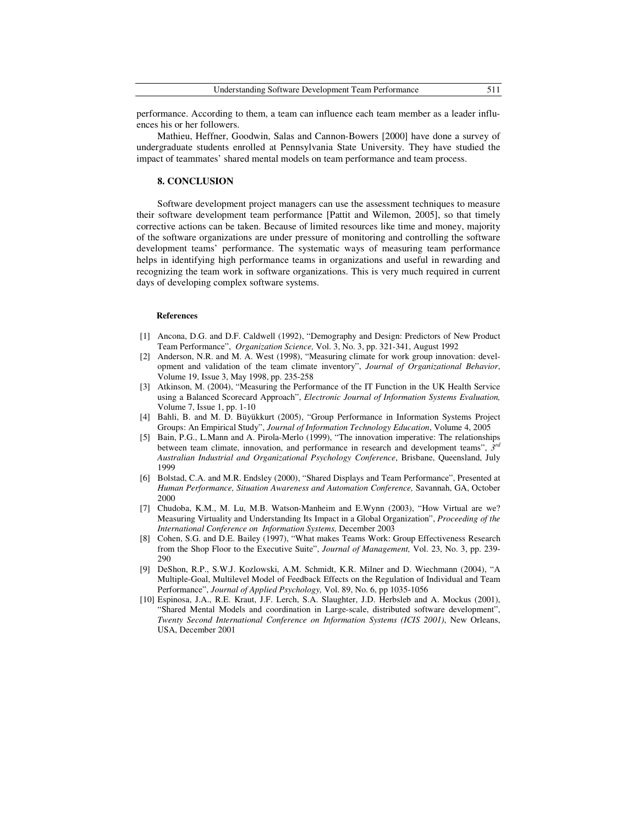| <b>Understanding Software Development Team Performance</b> |  |  |
|------------------------------------------------------------|--|--|
|------------------------------------------------------------|--|--|

performance. According to them, a team can influence each team member as a leader influences his or her followers.

Mathieu, Heffner, Goodwin, Salas and Cannon-Bowers [2000] have done a survey of undergraduate students enrolled at Pennsylvania State University. They have studied the impact of teammates' shared mental models on team performance and team process.

### **8. CONCLUSION**

Software development project managers can use the assessment techniques to measure their software development team performance [Pattit and Wilemon, 2005], so that timely corrective actions can be taken. Because of limited resources like time and money, majority of the software organizations are under pressure of monitoring and controlling the software development teams' performance. The systematic ways of measuring team performance helps in identifying high performance teams in organizations and useful in rewarding and recognizing the team work in software organizations. This is very much required in current days of developing complex software systems.

### **References**

- [1] Ancona, D.G. and D.F. Caldwell (1992), "Demography and Design: Predictors of New Product Team Performance", *Organization Science,* Vol. 3, No. 3, pp. 321-341, August 1992
- [2] Anderson, N.R. and M. A. West (1998), "Measuring climate for work group innovation: development and validation of the team climate inventory", *Journal of Organizational Behavior*, Volume 19, Issue 3, May 1998, pp. 235-258
- [3] Atkinson, M. (2004), "Measuring the Performance of the IT Function in the UK Health Service using a Balanced Scorecard Approach", *Electronic Journal of Information Systems Evaluation,*  Volume 7, Issue 1, pp. 1-10
- [4] Bahli, B. and M. D. Büyükkurt (2005), "Group Performance in Information Systems Project Groups: An Empirical Study", *Journal of Information Technology Education*, Volume 4, 2005
- [5] Bain, P.G., L.Mann and A. Pirola-Merlo (1999), "The innovation imperative: The relationships between team climate, innovation, and performance in research and development teams",  $\tilde{J}^{rd}$ *Australian Industrial and Organizational Psychology Conference*, Brisbane, Queensland, July 1999
- [6] Bolstad, C.A. and M.R. Endsley (2000), "Shared Displays and Team Performance", Presented at *Human Performance, Situation Awareness and Automation Conference,* Savannah, GA, October 2000
- [7] Chudoba, K.M., M. Lu, M.B. Watson-Manheim and E.Wynn (2003), "How Virtual are we? Measuring Virtuality and Understanding Its Impact in a Global Organization", *Proceeding of the International Conference on Information Systems,* December 2003
- [8] Cohen, S.G. and D.E. Bailey (1997), "What makes Teams Work: Group Effectiveness Research from the Shop Floor to the Executive Suite", *Journal of Management,* Vol. 23, No. 3, pp. 239- 290
- [9] DeShon, R.P., S.W.J. Kozlowski, A.M. Schmidt, K.R. Milner and D. Wiechmann (2004), "A Multiple-Goal, Multilevel Model of Feedback Effects on the Regulation of Individual and Team Performance", *Journal of Applied Psychology,* Vol. 89, No. 6, pp 1035-1056
- [10] Espinosa, J.A., R.E. Kraut, J.F. Lerch, S.A. Slaughter, J.D. Herbsleb and A. Mockus (2001), "Shared Mental Models and coordination in Large-scale, distributed software development", *Twenty Second International Conference on Information Systems (ICIS 2001)*, New Orleans, USA, December 2001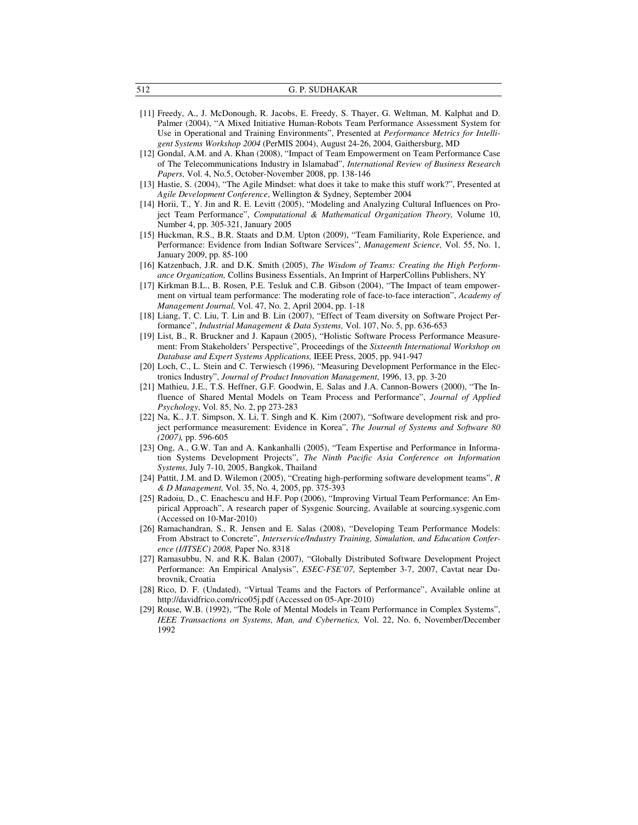- [11] Freedy, A., J. McDonough, R. Jacobs, E. Freedy, S. Thayer, G. Weltman, M. Kalphat and D. Palmer (2004), "A Mixed Initiative Human-Robots Team Performance Assessment System for Use in Operational and Training Environments", Presented at *Performance Metrics for Intelligent Systems Workshop 2004* (PerMIS 2004), August 24-26, 2004, Gaithersburg, MD
- [12] Gondal, A.M. and A. Khan (2008), "Impact of Team Empowerment on Team Performance Case of The Telecommunications Industry in Islamabad", *International Review of Business Research Papers,* Vol. 4, No.5, October-November 2008, pp. 138-146
- [13] Hastie, S. (2004), "The Agile Mindset: what does it take to make this stuff work?", Presented at *Agile Development Conference*, Wellington & Sydney, September 2004
- [14] Horii, T., Y. Jin and R. E. Levitt (2005), "Modeling and Analyzing Cultural Influences on Project Team Performance", *Computational & Mathematical Organization Theory,* Volume 10, Number 4, pp. 305-321, January 2005
- [15] Huckman, R.S., B.R. Staats and D.M. Upton (2009), "Team Familiarity, Role Experience, and Performance: Evidence from Indian Software Services", *Management Science,* Vol. 55, No. 1, January 2009, pp. 85-100
- [16] Katzenbach, J.R. and D.K. Smith (2005), *The Wisdom of Teams: Creating the High Performance Organization,* Collins Business Essentials, An Imprint of HarperCollins Publishers, NY
- [17] Kirkman B.L., B. Rosen, P.E. Tesluk and C.B. Gibson (2004), "The Impact of team empowerment on virtual team performance: The moderating role of face-to-face interaction", *Academy of Management Journal,* Vol. 47, No. 2, April 2004, pp. 1-18
- [18] Liang, T, C. Liu, T. Lin and B. Lin (2007), "Effect of Team diversity on Software Project Performance", *Industrial Management & Data Systems,* Vol. 107, No. 5, pp. 636-653
- [19] List, B., R. Bruckner and J. Kapaun (2005), "Holistic Software Process Performance Measurement: From Stakeholders' Perspective", Proceedings of the *Sixteenth International Workshop on Database and Expert Systems Applications,* IEEE Press, 2005, pp. 941-947
- [20] Loch, C., L. Stein and C. Terwiesch (1996), "Measuring Development Performance in the Electronics Industry", *Journal of Product Innovation Management*, 1996, 13, pp. 3-20
- [21] Mathieu, J.E., T.S. Heffner, G.F. Goodwin, E. Salas and J.A. Cannon-Bowers (2000), "The Influence of Shared Mental Models on Team Process and Performance", *Journal of Applied Psychology*, Vol. 85, No. 2, pp 273-283
- [22] Na, K., J.T. Simpson, X. Li, T. Singh and K. Kim (2007), "Software development risk and project performance measurement: Evidence in Korea", *The Journal of Systems and Software 80 (2007),* pp. 596-605
- [23] Ong, A., G.W. Tan and A. Kankanhalli (2005), "Team Expertise and Performance in Information Systems Development Projects", *The Ninth Pacific Asia Conference on Information Systems,* July 7-10, 2005, Bangkok, Thailand
- [24] Pattit, J.M. and D. Wilemon (2005), "Creating high-performing software development teams", *R & D Management,* Vol. 35, No. 4, 2005, pp. 375-393
- [25] Radoiu, D., C. Enachescu and H.F. Pop (2006), "Improving Virtual Team Performance: An Empirical Approach", A research paper of Sysgenic Sourcing, Available at sourcing.sysgenic.com (Accessed on 10-Mar-2010)
- [26] Ramachandran, S., R. Jensen and E. Salas (2008), "Developing Team Performance Models: From Abstract to Concrete", *Interservice/Industry Training, Simulation, and Education Conference (I/ITSEC) 2008,* Paper No. 8318
- [27] Ramasubbu, N. and R.K. Balan (2007), "Globally Distributed Software Development Project Performance: An Empirical Analysis", *ESEC-FSE'07,* September 3-7, 2007, Cavtat near Dubrovnik, Croatia
- [28] Rico, D. F. (Undated), "Virtual Teams and the Factors of Performance", Available online at http://davidfrico.com/rico05j.pdf (Accessed on 05-Apr-2010)
- [29] Rouse, W.B. (1992), "The Role of Mental Models in Team Performance in Complex Systems", *IEEE Transactions on Systems, Man, and Cybernetics,* Vol. 22, No. 6, November/December 1992